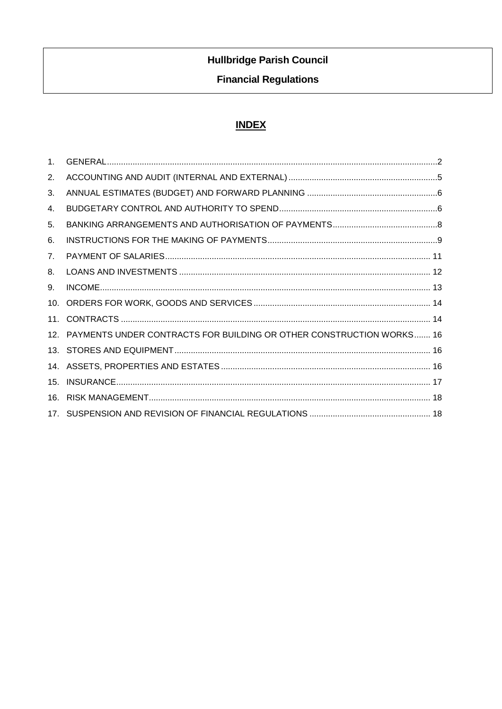# **Hullbridge Parish Council**

## **Financial Regulations**

# **INDEX**

| 1 <sub>1</sub> |                                                                          |  |
|----------------|--------------------------------------------------------------------------|--|
| 2.             |                                                                          |  |
| 3.             |                                                                          |  |
| 4.             |                                                                          |  |
| 5.             |                                                                          |  |
| 6.             |                                                                          |  |
| 7.             |                                                                          |  |
| 8.             |                                                                          |  |
| 9.             |                                                                          |  |
| 10.            |                                                                          |  |
| 11.            |                                                                          |  |
|                | 12. PAYMENTS UNDER CONTRACTS FOR BUILDING OR OTHER CONSTRUCTION WORKS 16 |  |
|                |                                                                          |  |
|                |                                                                          |  |
| 15.            |                                                                          |  |
| 16.            |                                                                          |  |
|                |                                                                          |  |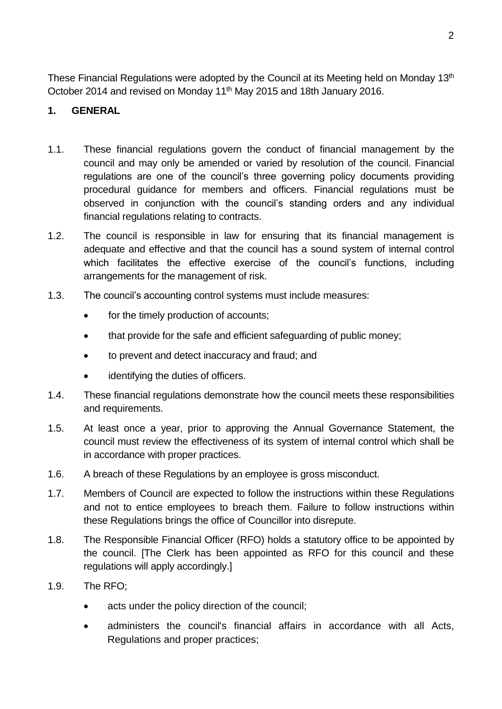These Financial Regulations were adopted by the Council at its Meeting held on Monday 13<sup>th</sup> October 2014 and revised on Monday 11th May 2015 and 18th January 2016.

## <span id="page-1-0"></span>**1. GENERAL**

- 1.1. These financial regulations govern the conduct of financial management by the council and may only be amended or varied by resolution of the council. Financial regulations are one of the council's three governing policy documents providing procedural guidance for members and officers. Financial regulations must be observed in conjunction with the council's standing orders and any individual financial regulations relating to contracts.
- 1.2. The council is responsible in law for ensuring that its financial management is adequate and effective and that the council has a sound system of internal control which facilitates the effective exercise of the council's functions, including arrangements for the management of risk.
- 1.3. The council's accounting control systems must include measures:
	- for the timely production of accounts;
	- that provide for the safe and efficient safeguarding of public money;
	- to prevent and detect inaccuracy and fraud; and
	- identifying the duties of officers.
- 1.4. These financial regulations demonstrate how the council meets these responsibilities and requirements.
- 1.5. At least once a year, prior to approving the Annual Governance Statement, the council must review the effectiveness of its system of internal control which shall be in accordance with proper practices.
- 1.6. A breach of these Regulations by an employee is gross misconduct.
- 1.7. Members of Council are expected to follow the instructions within these Regulations and not to entice employees to breach them. Failure to follow instructions within these Regulations brings the office of Councillor into disrepute.
- 1.8. The Responsible Financial Officer (RFO) holds a statutory office to be appointed by the council. [The Clerk has been appointed as RFO for this council and these regulations will apply accordingly.]
- 1.9. The RFO;
	- acts under the policy direction of the council;
	- administers the council's financial affairs in accordance with all Acts, Regulations and proper practices;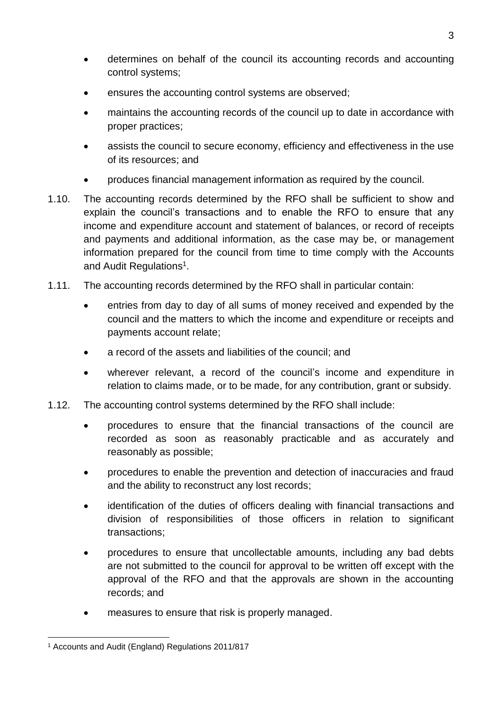- determines on behalf of the council its accounting records and accounting control systems;
- ensures the accounting control systems are observed;
- maintains the accounting records of the council up to date in accordance with proper practices;
- assists the council to secure economy, efficiency and effectiveness in the use of its resources; and
- produces financial management information as required by the council.
- 1.10. The accounting records determined by the RFO shall be sufficient to show and explain the council's transactions and to enable the RFO to ensure that any income and expenditure account and statement of balances, or record of receipts and payments and additional information, as the case may be, or management information prepared for the council from time to time comply with the Accounts and Audit Regulations<sup>1</sup>.
- 1.11. The accounting records determined by the RFO shall in particular contain:
	- entries from day to day of all sums of money received and expended by the council and the matters to which the income and expenditure or receipts and payments account relate;
	- a record of the assets and liabilities of the council; and
	- wherever relevant, a record of the council's income and expenditure in relation to claims made, or to be made, for any contribution, grant or subsidy.
- 1.12. The accounting control systems determined by the RFO shall include:
	- procedures to ensure that the financial transactions of the council are recorded as soon as reasonably practicable and as accurately and reasonably as possible;
	- procedures to enable the prevention and detection of inaccuracies and fraud and the ability to reconstruct any lost records;
	- identification of the duties of officers dealing with financial transactions and division of responsibilities of those officers in relation to significant transactions;
	- procedures to ensure that uncollectable amounts, including any bad debts are not submitted to the council for approval to be written off except with the approval of the RFO and that the approvals are shown in the accounting records; and
	- measures to ensure that risk is properly managed.

<sup>1</sup> <sup>1</sup> Accounts and Audit (England) Regulations 2011/817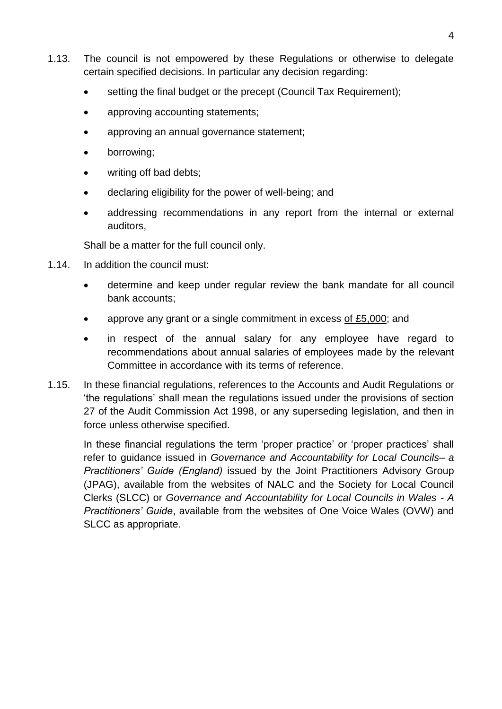- 1.13. The council is not empowered by these Regulations or otherwise to delegate certain specified decisions. In particular any decision regarding:
	- setting the final budget or the precept (Council Tax Requirement);
	- approving accounting statements;
	- approving an annual governance statement;
	- borrowing;
	- writing off bad debts;
	- declaring eligibility for the power of well-being; and
	- addressing recommendations in any report from the internal or external auditors,

Shall be a matter for the full council only.

- 1.14. In addition the council must:
	- determine and keep under regular review the bank mandate for all council bank accounts;
	- approve any grant or a single commitment in excess of £5,000; and
	- in respect of the annual salary for any employee have regard to recommendations about annual salaries of employees made by the relevant Committee in accordance with its terms of reference.
- 1.15. In these financial regulations, references to the Accounts and Audit Regulations or 'the regulations' shall mean the regulations issued under the provisions of section 27 of the Audit Commission Act 1998, or any superseding legislation, and then in force unless otherwise specified.

In these financial regulations the term 'proper practice' or 'proper practices' shall refer to guidance issued in *Governance and Accountability for Local Councils– a Practitioners' Guide (England)* issued by the Joint Practitioners Advisory Group (JPAG), available from the websites of NALC and the Society for Local Council Clerks (SLCC) or *Governance and Accountability for Local Councils in Wales - A Practitioners' Guide*, available from the websites of One Voice Wales (OVW) and SLCC as appropriate.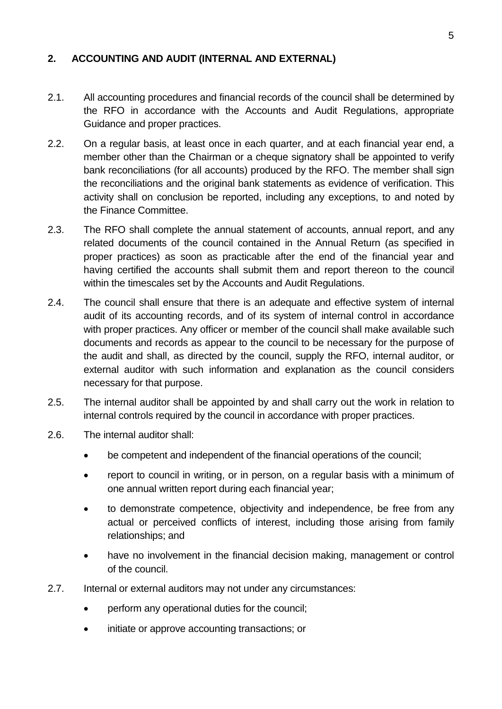#### <span id="page-4-0"></span>**2. ACCOUNTING AND AUDIT (INTERNAL AND EXTERNAL)**

- 2.1. All accounting procedures and financial records of the council shall be determined by the RFO in accordance with the Accounts and Audit Regulations, appropriate Guidance and proper practices.
- 2.2. On a regular basis, at least once in each quarter, and at each financial year end, a member other than the Chairman or a cheque signatory shall be appointed to verify bank reconciliations (for all accounts) produced by the RFO. The member shall sign the reconciliations and the original bank statements as evidence of verification. This activity shall on conclusion be reported, including any exceptions, to and noted by the Finance Committee.
- 2.3. The RFO shall complete the annual statement of accounts, annual report, and any related documents of the council contained in the Annual Return (as specified in proper practices) as soon as practicable after the end of the financial year and having certified the accounts shall submit them and report thereon to the council within the timescales set by the Accounts and Audit Regulations.
- 2.4. The council shall ensure that there is an adequate and effective system of internal audit of its accounting records, and of its system of internal control in accordance with proper practices. Any officer or member of the council shall make available such documents and records as appear to the council to be necessary for the purpose of the audit and shall, as directed by the council, supply the RFO, internal auditor, or external auditor with such information and explanation as the council considers necessary for that purpose.
- 2.5. The internal auditor shall be appointed by and shall carry out the work in relation to internal controls required by the council in accordance with proper practices.
- 2.6. The internal auditor shall:
	- be competent and independent of the financial operations of the council;
	- report to council in writing, or in person, on a regular basis with a minimum of one annual written report during each financial year;
	- to demonstrate competence, objectivity and independence, be free from any actual or perceived conflicts of interest, including those arising from family relationships; and
	- have no involvement in the financial decision making, management or control of the council.
- 2.7. Internal or external auditors may not under any circumstances:
	- perform any operational duties for the council;
	- initiate or approve accounting transactions; or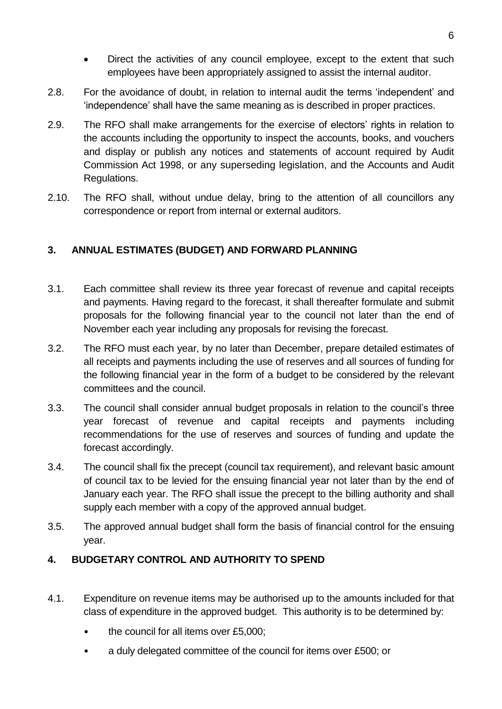- Direct the activities of any council employee, except to the extent that such employees have been appropriately assigned to assist the internal auditor.
- 2.8. For the avoidance of doubt, in relation to internal audit the terms 'independent' and 'independence' shall have the same meaning as is described in proper practices.
- 2.9. The RFO shall make arrangements for the exercise of electors' rights in relation to the accounts including the opportunity to inspect the accounts, books, and vouchers and display or publish any notices and statements of account required by Audit Commission Act 1998, or any superseding legislation, and the Accounts and Audit Regulations.
- 2.10. The RFO shall, without undue delay, bring to the attention of all councillors any correspondence or report from internal or external auditors.

## <span id="page-5-0"></span>**3. ANNUAL ESTIMATES (BUDGET) AND FORWARD PLANNING**

- 3.1. Each committee shall review its three year forecast of revenue and capital receipts and payments. Having regard to the forecast, it shall thereafter formulate and submit proposals for the following financial year to the council not later than the end of November each year including any proposals for revising the forecast.
- 3.2. The RFO must each year, by no later than December, prepare detailed estimates of all receipts and payments including the use of reserves and all sources of funding for the following financial year in the form of a budget to be considered by the relevant committees and the council.
- 3.3. The council shall consider annual budget proposals in relation to the council's three year forecast of revenue and capital receipts and payments including recommendations for the use of reserves and sources of funding and update the forecast accordingly.
- 3.4. The council shall fix the precept (council tax requirement), and relevant basic amount of council tax to be levied for the ensuing financial year not later than by the end of January each year. The RFO shall issue the precept to the billing authority and shall supply each member with a copy of the approved annual budget.
- 3.5. The approved annual budget shall form the basis of financial control for the ensuing year.

#### <span id="page-5-1"></span>**4. BUDGETARY CONTROL AND AUTHORITY TO SPEND**

- 4.1. Expenditure on revenue items may be authorised up to the amounts included for that class of expenditure in the approved budget. This authority is to be determined by:
	- the council for all items over £5,000;
	- a duly delegated committee of the council for items over £500; or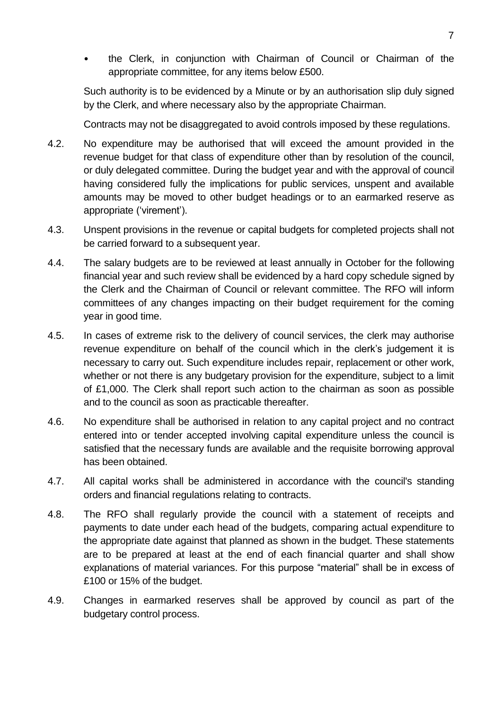• the Clerk, in conjunction with Chairman of Council or Chairman of the appropriate committee, for any items below £500.

Such authority is to be evidenced by a Minute or by an authorisation slip duly signed by the Clerk, and where necessary also by the appropriate Chairman.

Contracts may not be disaggregated to avoid controls imposed by these regulations.

- 4.2. No expenditure may be authorised that will exceed the amount provided in the revenue budget for that class of expenditure other than by resolution of the council, or duly delegated committee. During the budget year and with the approval of council having considered fully the implications for public services, unspent and available amounts may be moved to other budget headings or to an earmarked reserve as appropriate ('virement').
- 4.3. Unspent provisions in the revenue or capital budgets for completed projects shall not be carried forward to a subsequent year.
- 4.4. The salary budgets are to be reviewed at least annually in October for the following financial year and such review shall be evidenced by a hard copy schedule signed by the Clerk and the Chairman of Council or relevant committee. The RFO will inform committees of any changes impacting on their budget requirement for the coming year in good time.
- 4.5. In cases of extreme risk to the delivery of council services, the clerk may authorise revenue expenditure on behalf of the council which in the clerk's judgement it is necessary to carry out. Such expenditure includes repair, replacement or other work, whether or not there is any budgetary provision for the expenditure, subject to a limit of £1,000. The Clerk shall report such action to the chairman as soon as possible and to the council as soon as practicable thereafter.
- 4.6. No expenditure shall be authorised in relation to any capital project and no contract entered into or tender accepted involving capital expenditure unless the council is satisfied that the necessary funds are available and the requisite borrowing approval has been obtained.
- 4.7. All capital works shall be administered in accordance with the council's standing orders and financial regulations relating to contracts.
- 4.8. The RFO shall regularly provide the council with a statement of receipts and payments to date under each head of the budgets, comparing actual expenditure to the appropriate date against that planned as shown in the budget. These statements are to be prepared at least at the end of each financial quarter and shall show explanations of material variances. For this purpose "material" shall be in excess of £100 or 15% of the budget.
- 4.9. Changes in earmarked reserves shall be approved by council as part of the budgetary control process.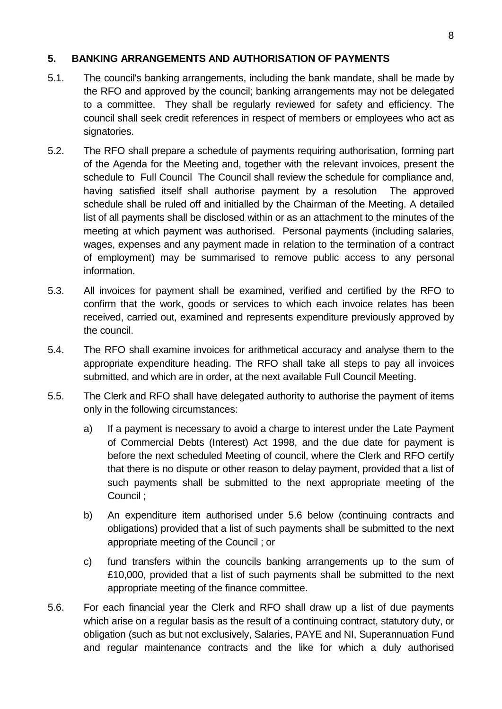#### <span id="page-7-0"></span>**5. BANKING ARRANGEMENTS AND AUTHORISATION OF PAYMENTS**

- 5.1. The council's banking arrangements, including the bank mandate, shall be made by the RFO and approved by the council; banking arrangements may not be delegated to a committee. They shall be regularly reviewed for safety and efficiency. The council shall seek credit references in respect of members or employees who act as signatories.
- 5.2. The RFO shall prepare a schedule of payments requiring authorisation, forming part of the Agenda for the Meeting and, together with the relevant invoices, present the schedule to Full Council The Council shall review the schedule for compliance and, having satisfied itself shall authorise payment by a resolution The approved schedule shall be ruled off and initialled by the Chairman of the Meeting. A detailed list of all payments shall be disclosed within or as an attachment to the minutes of the meeting at which payment was authorised. Personal payments (including salaries, wages, expenses and any payment made in relation to the termination of a contract of employment) may be summarised to remove public access to any personal information.
- 5.3. All invoices for payment shall be examined, verified and certified by the RFO to confirm that the work, goods or services to which each invoice relates has been received, carried out, examined and represents expenditure previously approved by the council.
- 5.4. The RFO shall examine invoices for arithmetical accuracy and analyse them to the appropriate expenditure heading. The RFO shall take all steps to pay all invoices submitted, and which are in order, at the next available Full Council Meeting.
- 5.5. The Clerk and RFO shall have delegated authority to authorise the payment of items only in the following circumstances:
	- a) If a payment is necessary to avoid a charge to interest under the Late Payment of Commercial Debts (Interest) Act 1998, and the due date for payment is before the next scheduled Meeting of council, where the Clerk and RFO certify that there is no dispute or other reason to delay payment, provided that a list of such payments shall be submitted to the next appropriate meeting of the Council ;
	- b) An expenditure item authorised under 5.6 below (continuing contracts and obligations) provided that a list of such payments shall be submitted to the next appropriate meeting of the Council ; or
	- c) fund transfers within the councils banking arrangements up to the sum of £10,000, provided that a list of such payments shall be submitted to the next appropriate meeting of the finance committee.
- 5.6. For each financial year the Clerk and RFO shall draw up a list of due payments which arise on a regular basis as the result of a continuing contract, statutory duty, or obligation (such as but not exclusively, Salaries, PAYE and NI, Superannuation Fund and regular maintenance contracts and the like for which a duly authorised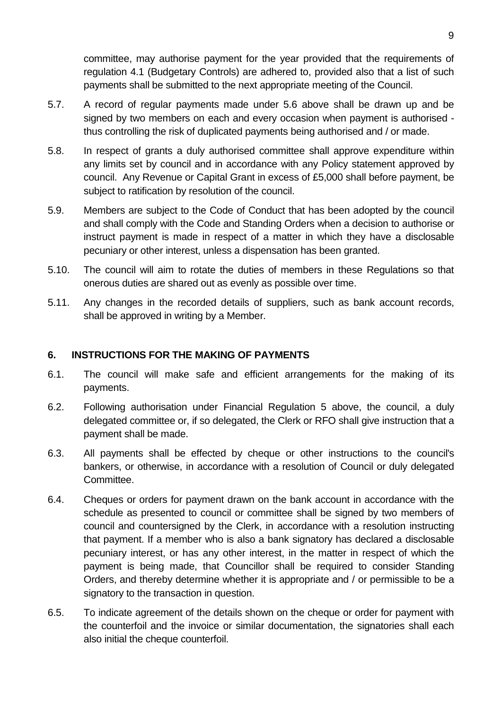committee, may authorise payment for the year provided that the requirements of regulation 4.1 (Budgetary Controls) are adhered to, provided also that a list of such payments shall be submitted to the next appropriate meeting of the Council.

- 5.7. A record of regular payments made under 5.6 above shall be drawn up and be signed by two members on each and every occasion when payment is authorised thus controlling the risk of duplicated payments being authorised and / or made.
- 5.8. In respect of grants a duly authorised committee shall approve expenditure within any limits set by council and in accordance with any Policy statement approved by council. Any Revenue or Capital Grant in excess of £5,000 shall before payment, be subject to ratification by resolution of the council.
- 5.9. Members are subject to the Code of Conduct that has been adopted by the council and shall comply with the Code and Standing Orders when a decision to authorise or instruct payment is made in respect of a matter in which they have a disclosable pecuniary or other interest, unless a dispensation has been granted.
- 5.10. The council will aim to rotate the duties of members in these Regulations so that onerous duties are shared out as evenly as possible over time.
- 5.11. Any changes in the recorded details of suppliers, such as bank account records, shall be approved in writing by a Member.

#### <span id="page-8-0"></span>**6. INSTRUCTIONS FOR THE MAKING OF PAYMENTS**

- 6.1. The council will make safe and efficient arrangements for the making of its payments.
- 6.2. Following authorisation under Financial Regulation 5 above, the council, a duly delegated committee or, if so delegated, the Clerk or RFO shall give instruction that a payment shall be made.
- 6.3. All payments shall be effected by cheque or other instructions to the council's bankers, or otherwise, in accordance with a resolution of Council or duly delegated Committee.
- 6.4. Cheques or orders for payment drawn on the bank account in accordance with the schedule as presented to council or committee shall be signed by two members of council and countersigned by the Clerk, in accordance with a resolution instructing that payment. If a member who is also a bank signatory has declared a disclosable pecuniary interest, or has any other interest, in the matter in respect of which the payment is being made, that Councillor shall be required to consider Standing Orders, and thereby determine whether it is appropriate and / or permissible to be a signatory to the transaction in question.
- 6.5. To indicate agreement of the details shown on the cheque or order for payment with the counterfoil and the invoice or similar documentation, the signatories shall each also initial the cheque counterfoil.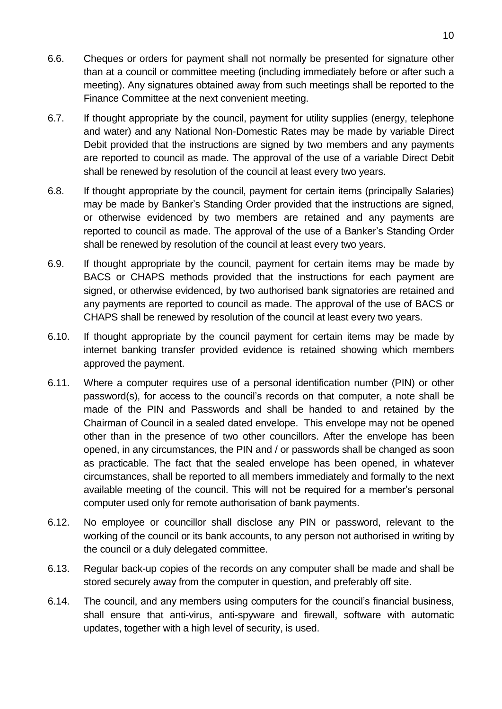- 6.6. Cheques or orders for payment shall not normally be presented for signature other than at a council or committee meeting (including immediately before or after such a meeting). Any signatures obtained away from such meetings shall be reported to the Finance Committee at the next convenient meeting.
- 6.7. If thought appropriate by the council, payment for utility supplies (energy, telephone and water) and any National Non-Domestic Rates may be made by variable Direct Debit provided that the instructions are signed by two members and any payments are reported to council as made. The approval of the use of a variable Direct Debit shall be renewed by resolution of the council at least every two years.
- 6.8. If thought appropriate by the council, payment for certain items (principally Salaries) may be made by Banker's Standing Order provided that the instructions are signed, or otherwise evidenced by two members are retained and any payments are reported to council as made. The approval of the use of a Banker's Standing Order shall be renewed by resolution of the council at least every two years.
- 6.9. If thought appropriate by the council, payment for certain items may be made by BACS or CHAPS methods provided that the instructions for each payment are signed, or otherwise evidenced, by two authorised bank signatories are retained and any payments are reported to council as made. The approval of the use of BACS or CHAPS shall be renewed by resolution of the council at least every two years.
- 6.10. If thought appropriate by the council payment for certain items may be made by internet banking transfer provided evidence is retained showing which members approved the payment.
- 6.11. Where a computer requires use of a personal identification number (PIN) or other password(s), for access to the council's records on that computer, a note shall be made of the PIN and Passwords and shall be handed to and retained by the Chairman of Council in a sealed dated envelope. This envelope may not be opened other than in the presence of two other councillors. After the envelope has been opened, in any circumstances, the PIN and / or passwords shall be changed as soon as practicable. The fact that the sealed envelope has been opened, in whatever circumstances, shall be reported to all members immediately and formally to the next available meeting of the council. This will not be required for a member's personal computer used only for remote authorisation of bank payments.
- 6.12. No employee or councillor shall disclose any PIN or password, relevant to the working of the council or its bank accounts, to any person not authorised in writing by the council or a duly delegated committee.
- 6.13. Regular back-up copies of the records on any computer shall be made and shall be stored securely away from the computer in question, and preferably off site.
- 6.14. The council, and any members using computers for the council's financial business, shall ensure that anti-virus, anti-spyware and firewall, software with automatic updates, together with a high level of security, is used.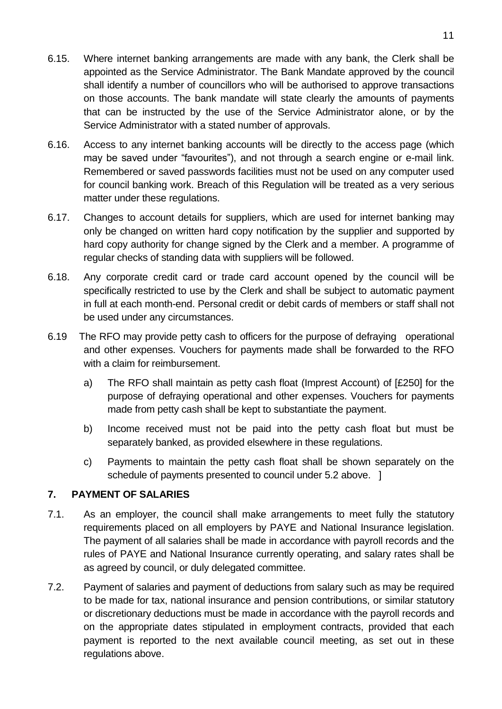- 6.15. Where internet banking arrangements are made with any bank, the Clerk shall be appointed as the Service Administrator. The Bank Mandate approved by the council shall identify a number of councillors who will be authorised to approve transactions on those accounts. The bank mandate will state clearly the amounts of payments that can be instructed by the use of the Service Administrator alone, or by the Service Administrator with a stated number of approvals.
- 6.16. Access to any internet banking accounts will be directly to the access page (which may be saved under "favourites"), and not through a search engine or e-mail link. Remembered or saved passwords facilities must not be used on any computer used for council banking work. Breach of this Regulation will be treated as a very serious matter under these regulations.
- 6.17. Changes to account details for suppliers, which are used for internet banking may only be changed on written hard copy notification by the supplier and supported by hard copy authority for change signed by the Clerk and a member. A programme of regular checks of standing data with suppliers will be followed.
- 6.18. Any corporate credit card or trade card account opened by the council will be specifically restricted to use by the Clerk and shall be subject to automatic payment in full at each month-end. Personal credit or debit cards of members or staff shall not be used under any circumstances.
- 6.19 The RFO may provide petty cash to officers for the purpose of defraying operational and other expenses. Vouchers for payments made shall be forwarded to the RFO with a claim for reimbursement.
	- a) The RFO shall maintain as petty cash float (Imprest Account) of [£250] for the purpose of defraying operational and other expenses. Vouchers for payments made from petty cash shall be kept to substantiate the payment.
	- b) Income received must not be paid into the petty cash float but must be separately banked, as provided elsewhere in these regulations.
	- c) Payments to maintain the petty cash float shall be shown separately on the schedule of payments presented to council under 5.2 above. 1

#### <span id="page-10-0"></span>**7. PAYMENT OF SALARIES**

- 7.1. As an employer, the council shall make arrangements to meet fully the statutory requirements placed on all employers by PAYE and National Insurance legislation. The payment of all salaries shall be made in accordance with payroll records and the rules of PAYE and National Insurance currently operating, and salary rates shall be as agreed by council, or duly delegated committee.
- 7.2. Payment of salaries and payment of deductions from salary such as may be required to be made for tax, national insurance and pension contributions, or similar statutory or discretionary deductions must be made in accordance with the payroll records and on the appropriate dates stipulated in employment contracts, provided that each payment is reported to the next available council meeting, as set out in these regulations above.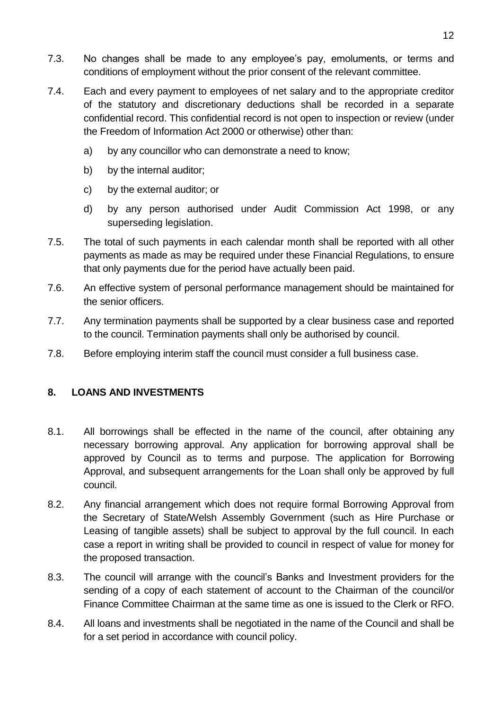- 7.3. No changes shall be made to any employee's pay, emoluments, or terms and conditions of employment without the prior consent of the relevant committee.
- 7.4. Each and every payment to employees of net salary and to the appropriate creditor of the statutory and discretionary deductions shall be recorded in a separate confidential record. This confidential record is not open to inspection or review (under the Freedom of Information Act 2000 or otherwise) other than:
	- a) by any councillor who can demonstrate a need to know;
	- b) by the internal auditor;
	- c) by the external auditor; or
	- d) by any person authorised under Audit Commission Act 1998, or any superseding legislation.
- 7.5. The total of such payments in each calendar month shall be reported with all other payments as made as may be required under these Financial Regulations, to ensure that only payments due for the period have actually been paid.
- 7.6. An effective system of personal performance management should be maintained for the senior officers.
- 7.7. Any termination payments shall be supported by a clear business case and reported to the council. Termination payments shall only be authorised by council.
- 7.8. Before employing interim staff the council must consider a full business case.

#### <span id="page-11-0"></span>**8. LOANS AND INVESTMENTS**

- 8.1. All borrowings shall be effected in the name of the council, after obtaining any necessary borrowing approval. Any application for borrowing approval shall be approved by Council as to terms and purpose. The application for Borrowing Approval, and subsequent arrangements for the Loan shall only be approved by full council.
- 8.2. Any financial arrangement which does not require formal Borrowing Approval from the Secretary of State/Welsh Assembly Government (such as Hire Purchase or Leasing of tangible assets) shall be subject to approval by the full council. In each case a report in writing shall be provided to council in respect of value for money for the proposed transaction.
- 8.3. The council will arrange with the council's Banks and Investment providers for the sending of a copy of each statement of account to the Chairman of the council/or Finance Committee Chairman at the same time as one is issued to the Clerk or RFO.
- 8.4. All loans and investments shall be negotiated in the name of the Council and shall be for a set period in accordance with council policy.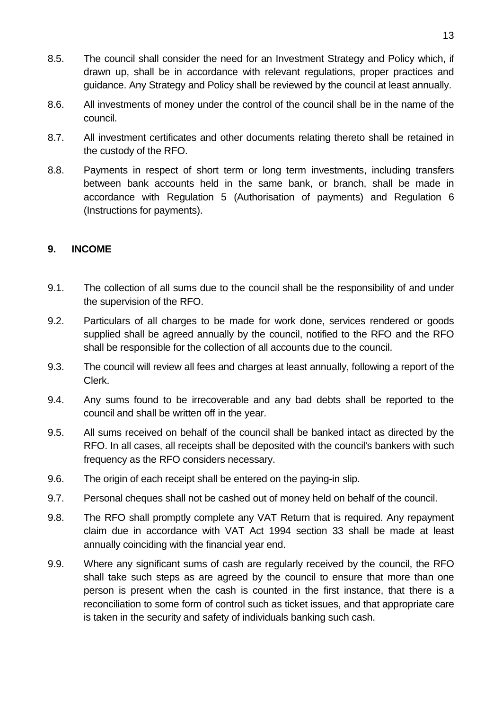- 8.5. The council shall consider the need for an Investment Strategy and Policy which, if drawn up, shall be in accordance with relevant regulations, proper practices and guidance. Any Strategy and Policy shall be reviewed by the council at least annually.
- 8.6. All investments of money under the control of the council shall be in the name of the council.
- 8.7. All investment certificates and other documents relating thereto shall be retained in the custody of the RFO.
- 8.8. Payments in respect of short term or long term investments, including transfers between bank accounts held in the same bank, or branch, shall be made in accordance with Regulation 5 (Authorisation of payments) and Regulation 6 (Instructions for payments).

#### <span id="page-12-0"></span>**9. INCOME**

- 9.1. The collection of all sums due to the council shall be the responsibility of and under the supervision of the RFO.
- 9.2. Particulars of all charges to be made for work done, services rendered or goods supplied shall be agreed annually by the council, notified to the RFO and the RFO shall be responsible for the collection of all accounts due to the council.
- 9.3. The council will review all fees and charges at least annually, following a report of the Clerk.
- 9.4. Any sums found to be irrecoverable and any bad debts shall be reported to the council and shall be written off in the year.
- 9.5. All sums received on behalf of the council shall be banked intact as directed by the RFO. In all cases, all receipts shall be deposited with the council's bankers with such frequency as the RFO considers necessary.
- 9.6. The origin of each receipt shall be entered on the paying-in slip.
- 9.7. Personal cheques shall not be cashed out of money held on behalf of the council.
- 9.8. The RFO shall promptly complete any VAT Return that is required. Any repayment claim due in accordance with VAT Act 1994 section 33 shall be made at least annually coinciding with the financial year end.
- 9.9. Where any significant sums of cash are regularly received by the council, the RFO shall take such steps as are agreed by the council to ensure that more than one person is present when the cash is counted in the first instance, that there is a reconciliation to some form of control such as ticket issues, and that appropriate care is taken in the security and safety of individuals banking such cash.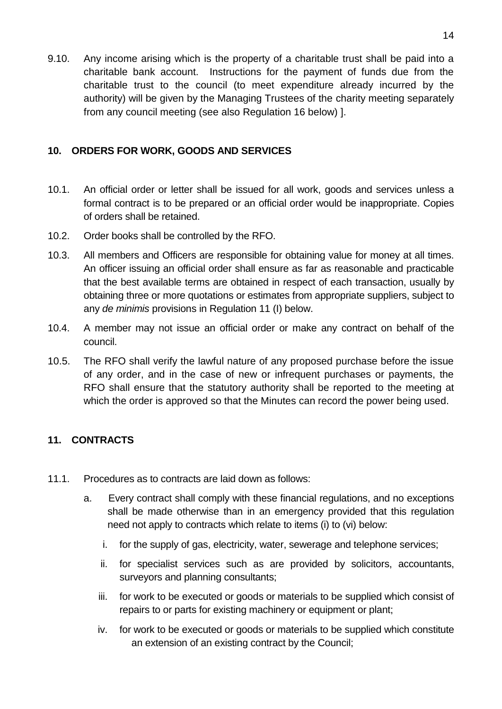9.10. Any income arising which is the property of a charitable trust shall be paid into a charitable bank account. Instructions for the payment of funds due from the charitable trust to the council (to meet expenditure already incurred by the authority) will be given by the Managing Trustees of the charity meeting separately from any council meeting (see also Regulation 16 below) ].

#### <span id="page-13-0"></span>**10. ORDERS FOR WORK, GOODS AND SERVICES**

- 10.1. An official order or letter shall be issued for all work, goods and services unless a formal contract is to be prepared or an official order would be inappropriate. Copies of orders shall be retained.
- 10.2. Order books shall be controlled by the RFO.
- 10.3. All members and Officers are responsible for obtaining value for money at all times. An officer issuing an official order shall ensure as far as reasonable and practicable that the best available terms are obtained in respect of each transaction, usually by obtaining three or more quotations or estimates from appropriate suppliers, subject to any *de minimis* provisions in Regulation 11 (I) below.
- 10.4. A member may not issue an official order or make any contract on behalf of the council.
- 10.5. The RFO shall verify the lawful nature of any proposed purchase before the issue of any order, and in the case of new or infrequent purchases or payments, the RFO shall ensure that the statutory authority shall be reported to the meeting at which the order is approved so that the Minutes can record the power being used.

## <span id="page-13-1"></span>**11. CONTRACTS**

- 11.1. Procedures as to contracts are laid down as follows:
	- a. Every contract shall comply with these financial regulations, and no exceptions shall be made otherwise than in an emergency provided that this regulation need not apply to contracts which relate to items (i) to (vi) below:
		- i. for the supply of gas, electricity, water, sewerage and telephone services;
		- ii. for specialist services such as are provided by solicitors, accountants, surveyors and planning consultants;
		- iii. for work to be executed or goods or materials to be supplied which consist of repairs to or parts for existing machinery or equipment or plant;
		- iv. for work to be executed or goods or materials to be supplied which constitute an extension of an existing contract by the Council;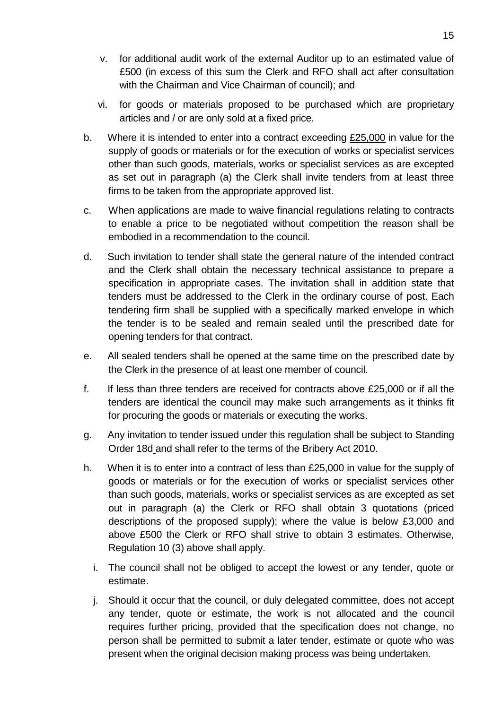- v. for additional audit work of the external Auditor up to an estimated value of £500 (in excess of this sum the Clerk and RFO shall act after consultation with the Chairman and Vice Chairman of council); and
- vi. for goods or materials proposed to be purchased which are proprietary articles and / or are only sold at a fixed price.
- b. Where it is intended to enter into a contract exceeding £25,000 in value for the supply of goods or materials or for the execution of works or specialist services other than such goods, materials, works or specialist services as are excepted as set out in paragraph (a) the Clerk shall invite tenders from at least three firms to be taken from the appropriate approved list.
- c. When applications are made to waive financial regulations relating to contracts to enable a price to be negotiated without competition the reason shall be embodied in a recommendation to the council.
- d. Such invitation to tender shall state the general nature of the intended contract and the Clerk shall obtain the necessary technical assistance to prepare a specification in appropriate cases. The invitation shall in addition state that tenders must be addressed to the Clerk in the ordinary course of post. Each tendering firm shall be supplied with a specifically marked envelope in which the tender is to be sealed and remain sealed until the prescribed date for opening tenders for that contract.
- e. All sealed tenders shall be opened at the same time on the prescribed date by the Clerk in the presence of at least one member of council.
- f. If less than three tenders are received for contracts above £25,000 or if all the tenders are identical the council may make such arrangements as it thinks fit for procuring the goods or materials or executing the works.
- g. Any invitation to tender issued under this regulation shall be subject to Standing Order 18d and shall refer to the terms of the Bribery Act 2010.
- h. When it is to enter into a contract of less than £25,000 in value for the supply of goods or materials or for the execution of works or specialist services other than such goods, materials, works or specialist services as are excepted as set out in paragraph (a) the Clerk or RFO shall obtain 3 quotations (priced descriptions of the proposed supply); where the value is below £3,000 and above £500 the Clerk or RFO shall strive to obtain 3 estimates. Otherwise, Regulation 10 (3) above shall apply.
	- i. The council shall not be obliged to accept the lowest or any tender, quote or estimate.
	- j. Should it occur that the council, or duly delegated committee, does not accept any tender, quote or estimate, the work is not allocated and the council requires further pricing, provided that the specification does not change, no person shall be permitted to submit a later tender, estimate or quote who was present when the original decision making process was being undertaken.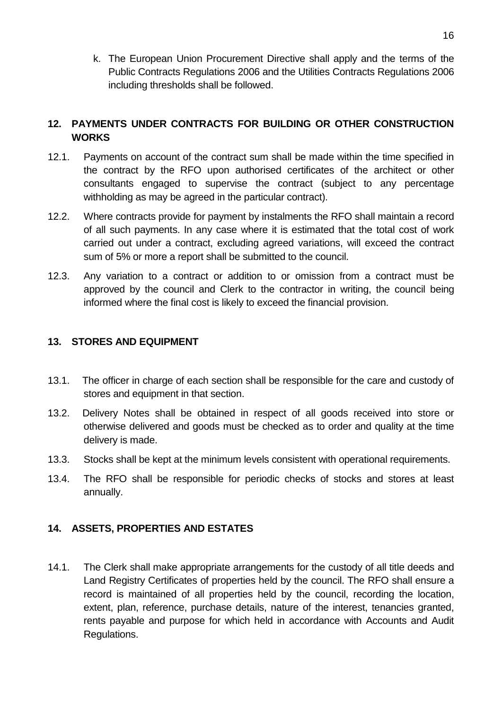k. The European Union Procurement Directive shall apply and the terms of the Public Contracts Regulations 2006 and the Utilities Contracts Regulations 2006 including thresholds shall be followed.

## <span id="page-15-0"></span>**12. PAYMENTS UNDER CONTRACTS FOR BUILDING OR OTHER CONSTRUCTION WORKS**

- 12.1. Payments on account of the contract sum shall be made within the time specified in the contract by the RFO upon authorised certificates of the architect or other consultants engaged to supervise the contract (subject to any percentage withholding as may be agreed in the particular contract).
- 12.2. Where contracts provide for payment by instalments the RFO shall maintain a record of all such payments. In any case where it is estimated that the total cost of work carried out under a contract, excluding agreed variations, will exceed the contract sum of 5% or more a report shall be submitted to the council.
- 12.3. Any variation to a contract or addition to or omission from a contract must be approved by the council and Clerk to the contractor in writing, the council being informed where the final cost is likely to exceed the financial provision.

### <span id="page-15-1"></span>**13. STORES AND EQUIPMENT**

- 13.1. The officer in charge of each section shall be responsible for the care and custody of stores and equipment in that section.
- 13.2. Delivery Notes shall be obtained in respect of all goods received into store or otherwise delivered and goods must be checked as to order and quality at the time delivery is made.
- 13.3. Stocks shall be kept at the minimum levels consistent with operational requirements.
- 13.4. The RFO shall be responsible for periodic checks of stocks and stores at least annually.

## <span id="page-15-2"></span>**14. ASSETS, PROPERTIES AND ESTATES**

14.1. The Clerk shall make appropriate arrangements for the custody of all title deeds and Land Registry Certificates of properties held by the council. The RFO shall ensure a record is maintained of all properties held by the council, recording the location, extent, plan, reference, purchase details, nature of the interest, tenancies granted, rents payable and purpose for which held in accordance with Accounts and Audit Regulations.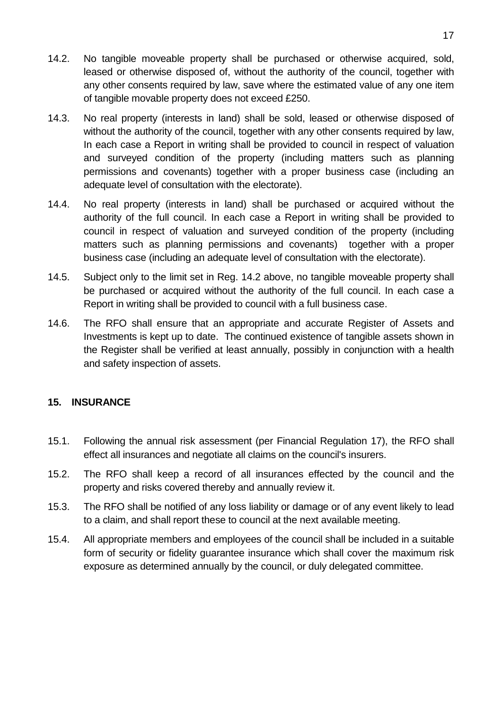- 14.2. No tangible moveable property shall be purchased or otherwise acquired, sold, leased or otherwise disposed of, without the authority of the council, together with any other consents required by law, save where the estimated value of any one item of tangible movable property does not exceed £250.
- 14.3. No real property (interests in land) shall be sold, leased or otherwise disposed of without the authority of the council, together with any other consents required by law, In each case a Report in writing shall be provided to council in respect of valuation and surveyed condition of the property (including matters such as planning permissions and covenants) together with a proper business case (including an adequate level of consultation with the electorate).
- 14.4. No real property (interests in land) shall be purchased or acquired without the authority of the full council. In each case a Report in writing shall be provided to council in respect of valuation and surveyed condition of the property (including matters such as planning permissions and covenants) together with a proper business case (including an adequate level of consultation with the electorate).
- 14.5. Subject only to the limit set in Reg. 14.2 above, no tangible moveable property shall be purchased or acquired without the authority of the full council. In each case a Report in writing shall be provided to council with a full business case.
- 14.6. The RFO shall ensure that an appropriate and accurate Register of Assets and Investments is kept up to date. The continued existence of tangible assets shown in the Register shall be verified at least annually, possibly in conjunction with a health and safety inspection of assets.

#### <span id="page-16-0"></span>**15. INSURANCE**

- 15.1. Following the annual risk assessment (per Financial Regulation 17), the RFO shall effect all insurances and negotiate all claims on the council's insurers.
- 15.2. The RFO shall keep a record of all insurances effected by the council and the property and risks covered thereby and annually review it.
- 15.3. The RFO shall be notified of any loss liability or damage or of any event likely to lead to a claim, and shall report these to council at the next available meeting.
- 15.4. All appropriate members and employees of the council shall be included in a suitable form of security or fidelity guarantee insurance which shall cover the maximum risk exposure as determined annually by the council, or duly delegated committee.